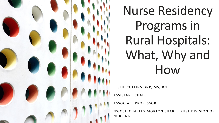

Nurse Residency Programs in Rural Hospitals: What, Why and How

LESLIE COLLINS DNP, MS, RN

**ASSISTANT CHAIR** 

ASSOCIATE PROFESSOR

N W O SU CHARLES MORTON SHARE TRUST DIVISION OF **NURSING**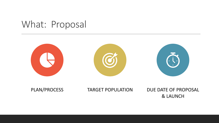### What: Proposal



PLAN/PROCESS TARGET POPULATION DUE DATE OF PROPOSAL & LAUNCH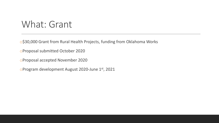### What: Grant

o\$30,000 Grant from Rural Health Projects, funding from Oklahoma Works

oProposal submitted October 2020

oProposal accepted November 2020

oProgram development August 2020-June 1st, 2021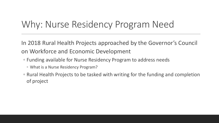## Why: Nurse Residency Program Need

In 2018 Rural Health Projects approached by the Governor's Council on Workforce and Economic Development

- Funding available for Nurse Residency Program to address needs
	- What is a Nurse Residency Program?
- Rural Health Projects to be tasked with writing for the funding and completion of project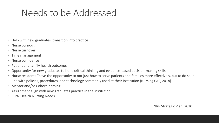# Needs to be Addressed

- Help with new graduates' transition into practice
- Nurse burnout
- Nurse turnover
- Time management
- Nurse confidence
- Patient and family health outcomes
- Opportunity for new graduates to hone critical thinking and evidence-based decision-making skills
- Nurse residents "have the opportunity to not just how to serve patients and families more effectively, but to do so in line with policies, procedures, and technology commonly used at their institution (Nursing CAS, 2018)
- Mentor and/or Cohort learning
- Assignment align with new graduates practice in the institution
- Rural Health Nursing Needs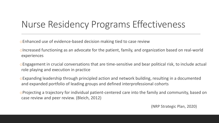# Nurse Residency Programs Effectiveness

oEnhanced use of evidence-based decision making tied to case review

- oIncreased functioning as an advocate for the patient, family, and organization based on real-world experiences
- oEngagement in crucial conversations that are time-sensitive and bear political risk, to include actual role playing and execution in practice
- oExpanding leadership through principled action and network building, resulting in a documented and expanded portfolio of leading groups and defined interprofessional cohorts
- oProjecting a trajectory for individual patient-centered care into the family and community, based on case review and peer review. (Bleich, 2012)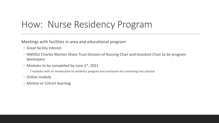# How: Nurse Residency Program

Meetings with facilities in area and educational program

- Great facility interest
- NWOSU Charles Morton Share Trust Division of Nursing Chair and Assistant Chair to be program developers
- Modules to be completed by June 1st, 2021
	- 7 modules with an introduction to residency program and conclusion for continuing into practice
- Online module
- Mentor or Cohort learning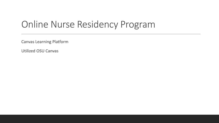## Online Nurse Residency Program

Canvas Learning Platform

Utilized OSU Canvas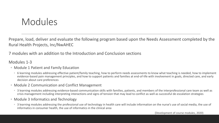### Modules

Prepare, load, deliver and evaluate the following program based upon the Needs Assessment completed by the Rural Health Projects, Inc/NwAHEC

7 modules with an addition to the Introduction and Conclusion sections

#### Modules 1-3

- Module 1 Patient and Family Education
	- 6 learning modules addressing effective patient/family teaching, how to perform needs assessments to know what teaching is needed, how to implement evidence-based pain management principles, and how to support patients and families at end-of-life with involvement in goals, directed care, and early decision about care preferences
- Module 2 Communication and Conflict Management
	- 3 learning modules addressing evidence-based communication skills with families, patients, and members of the interprofessional care team as well as crisis management including interpreting interactions and signs of tension that may lead to conflict as well as successful de-escalation strategies
- Module 3 Informatics and Technology
	- 3 learning modules addressing the professional use of technology in health care will include information on the nurse's use of social media, the use of informatics in consumer health, the use of informatics in the clinical area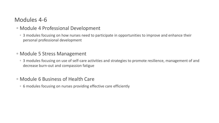### Modules 4-6

#### ◦ Module 4 Professional Development

◦ 3 modules focusing on how nurses need to participate in opportunities to improve and enhance their personal professional development

#### ◦ Module 5 Stress Management

◦ 3 modules focusing on use of self-care activities and strategies to promote resilience, management of and decrease burn-out and compassion fatigue

#### ◦ Module 6 Business of Health Care

◦ 6 modules focusing on nurses providing effective care efficiently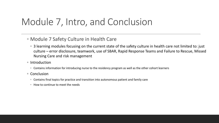### Module 7, Intro, and Conclusion

#### ◦ Module 7 Safety Culture in Health Care

- 3 learning modules focusing on the current state of the safety culture in health care not limited to: just culture – error disclosure, teamwork, use of SBAR, Rapid Response Teams and Failure to Rescue, Missed Nursing Care and risk management
- Introduction
	- Contains information for introducing nurse to the residency program as well as the other cohort learners
- Conclusion
	- Contains final topics for practice and transition into autonomous patient and family care
	- How to continue to meet the needs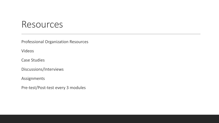### Resources

Professional Organization Resources

Videos

Case Studies

Discussions/Interviews

Assignments

Pre-test/Post-test every 3 modules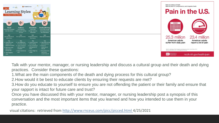| n Adapt to Online Classes                                                                         | The Best Schools<br>$=$<br>earning Styles                                                                            |                                                                                                             |                                                                                                                         | National Institutes of Health<br>National Center for Complementary and Integrative Health                                                                                                     | <b>Pain in the U.S.</b>                 |
|---------------------------------------------------------------------------------------------------|----------------------------------------------------------------------------------------------------------------------|-------------------------------------------------------------------------------------------------------------|-------------------------------------------------------------------------------------------------------------------------|-----------------------------------------------------------------------------------------------------------------------------------------------------------------------------------------------|-----------------------------------------|
| $\bigoplus_{n=1}^\infty$<br><b>Visual</b><br>is best by seeing<br>w information                   | $\mathbb{R}$<br>Auditory<br>Learns best by<br>listening and reading<br>out loud                                      | $\mathbb{P}$<br>Kinesthetic<br>Learns best<br>through hands-on<br>experience                                | $\mathbb{B}$<br>Reading/Writing<br>Learns best through<br>reading and writing<br>new information                        | <br>ೲೲ<br>ೲ <b>ೲ</b> ೲೲ                                                                                                                                                                       |                                         |
| Goal<br>n into the visua<br>side of class                                                         | Goal<br>Turn up the volume                                                                                           | Goal<br>Incorporate activity<br>into classes                                                                | Goal<br>Keep a pencil nearby                                                                                            | 25.3 million                                                                                                                                                                                  | 23.4 million                            |
| <b>Tips</b><br>reate your own<br>esigns and<br>iagrams for data<br>linimize visual<br>istractions | <b>Tips</b><br>$\vee$ Use headphones<br>for virtual classes<br>↓ Listen to lectures<br>with the screen<br>turned off | <b>Tips</b><br>↓ Listen to lectures<br>while walking<br>$\vee$ Use a standing or<br>walking desk at<br>home | <b>Tips</b><br>$\checkmark$ Take notes durin<br>online sessions<br>$\checkmark$ Check for<br>transcripts of<br>lectures | American adults<br>suffer from daily pain<br>Nahin RL. Estimates of Pain Prevalence and Severity in Adults: United States, 2012,<br>Journal of Pain (2015), doi: 10.1016/j.jpain.2015.05.002. | American adults<br>report a lot of pain |
| uring class<br>ake engaging<br>otes                                                               | ✓ Read material out<br>loud                                                                                          | $\vee$ Keep a fidget toy<br>handy                                                                           | $\checkmark$ Set aside time to<br>rewrite and<br>reread material                                                        | NIH Mational Center for<br>Integrative Health                                                                                                                                                 | nccih.nih.gov/health/pain               |

Talk with your mentor, manager, or nursing leadership and discuss a cultural group and their death and dying practices. Consider these questions:

1.What are the main components of the death and dying process for this cultural group?

2.How would it be best to educate clients by ensuring their requests are met?

3.How do you educate to yourself to ensure you are not offending the patient or their family and ensure that your rapport is intact for future care and trust?

Once you have discussed this with your mentor, manager, or nursing leadership post a synopsis of this conversation and the most important items that you learned and how you intended to use them in your practice.

visual citations: retrieved from <http://www.rnceus.com/picc/picced.html> 4/25/2021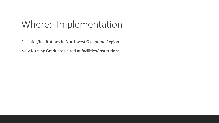## Where: Implementation

Facilities/Institutions in Northwest Oklahoma Region

New Nursing Graduates hired at facilities/institutions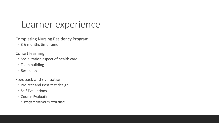### Learner experience

Completing Nursing Residency Program

- 3-6 months timeframe
- Cohort learning
- Socialization aspect of health care
- Team building
- Resiliency

Feedback and evaluation

- Pre-test and Post-test design
- Self Evaluations
- Course Evaluation
	- Program and facility evaulations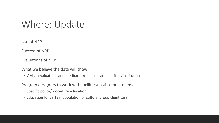### Where: Update

Use of NRP

Success of NRP

Evaluations of NRP

What we believe the data will show:

◦ Verbal evaluations and feedback from users and facilities/institutions

Program designers to work with facilities/institutional needs

- Specific policy/procedure education
- Education for certain population or cultural group client care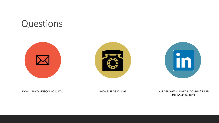### Questions







EMAIL: LNCOLLINS@NWOSU.EDU PHONE: 580-327-8496 LINKEDIN: WWW.LINKEDIN.COM/IN/LESLIE-COLLINS-459A50221